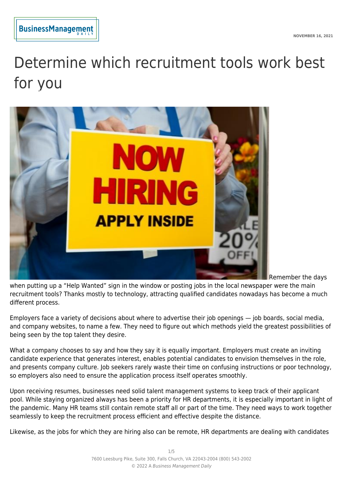# Determine which recruitment tools work best for you



Remember the days

when putting up a "Help Wanted" sign in the window or posting jobs in the local newspaper were the main recruitment tools? Thanks mostly to technology, attracting qualified candidates nowadays has become a much different process.

Employers face a variety of decisions about where to advertise their job openings — job boards, social media, and company websites, to name a few. They need to figure out which methods yield the greatest possibilities of being seen by the top talent they desire.

What a company chooses to say and how they say it is equally important. Employers must create an inviting candidate experience that generates interest, enables potential candidates to envision themselves in the role, and presents company culture. Job seekers rarely waste their time on confusing instructions or poor technology, so employers also need to ensure the application process itself operates smoothly.

Upon receiving resumes, businesses need solid talent management systems to keep track of their applicant pool. While staying organized always has been a priority for HR departments, it is especially important in light of the pandemic. Many HR teams still contain remote staff all or part of the time. They need ways to work together seamlessly to keep the recruitment process efficient and effective despite the distance.

Likewise, as the jobs for which they are hiring also can be remote, HR departments are dealing with candidates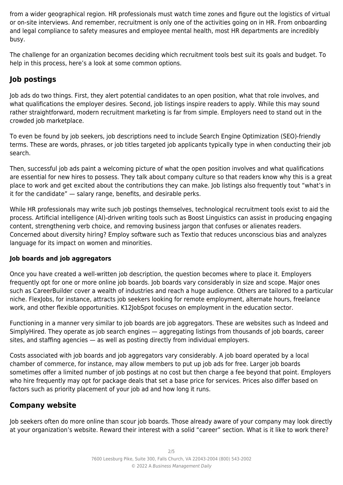from a wider geographical region. HR professionals must watch time zones and figure out the logistics of virtual or on-site interviews. And remember, recruitment is only one of the activities going on in HR. From onboarding and legal compliance to safety measures and employee mental health, most HR departments are incredibly busy.

The challenge for an organization becomes deciding which recruitment tools best suit its goals and budget. To help in this process, here's a look at some common options.

# **Job postings**

Job ads do two things. First, they alert potential candidates to an open position, what that role involves, and what qualifications the employer desires. Second, job listings inspire readers to apply. While this may sound rather straightforward, modern recruitment marketing is far from simple. Employers need to stand out in the crowded job marketplace.

To even be found by job seekers, job descriptions need to include Search Engine Optimization (SEO)-friendly terms. These are words, phrases, or job titles targeted job applicants typically type in when conducting their job search.

Then, successful job ads paint a welcoming picture of what the open position involves and what qualifications are essential for new hires to possess. They talk about company culture so that readers know why this is a great place to work and get excited about the contributions they can make. Job listings also frequently tout "what's in it for the candidate" — salary range, benefits, and desirable perks.

While HR professionals may write such job postings themselves, technological recruitment tools exist to aid the process. Artificial intelligence (AI)-driven writing tools such as Boost Linguistics can assist in producing engaging content, strengthening verb choice, and removing business jargon that confuses or alienates readers. Concerned about diversity hiring? Employ software such as Textio that reduces unconscious bias and analyzes language for its impact on women and minorities.

#### **Job boards and job aggregators**

Once you have created a well-written job description, the question becomes where to place it. Employers frequently opt for one or more online job boards. Job boards vary considerably in size and scope. Major ones such as CareerBuilder cover a wealth of industries and reach a huge audience. Others are tailored to a particular niche. FlexJobs, for instance, attracts job seekers looking for remote employment, alternate hours, freelance work, and other flexible opportunities. K12JobSpot focuses on employment in the education sector.

Functioning in a manner very similar to job boards are job aggregators. These are websites such as Indeed and SimplyHired. They operate as job search engines — aggregating listings from thousands of job boards, career sites, and staffing agencies — as well as posting directly from individual employers.

Costs associated with job boards and job aggregators vary considerably. A job board operated by a local chamber of commerce, for instance, may allow members to put up job ads for free. Larger job boards sometimes offer a limited number of job postings at no cost but then charge a fee beyond that point. Employers who hire frequently may opt for package deals that set a base price for services. Prices also differ based on factors such as priority placement of your job ad and how long it runs.

## **Company website**

Job seekers often do more online than scour job boards. Those already aware of your company may look directly at your organization's website. Reward their interest with a solid "career" section. What is it like to work there?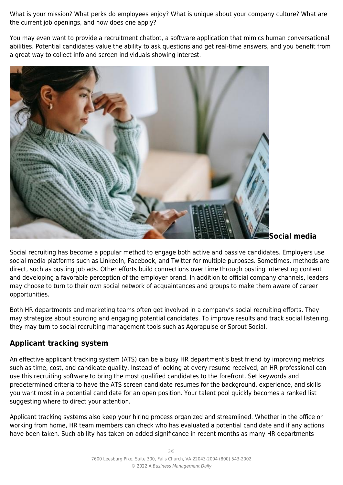What is your mission? What perks do employees enjoy? What is unique about your company culture? What are the current job openings, and how does one apply?

You may even want to provide a recruitment chatbot, a software application that mimics human conversational abilities. Potential candidates value the ability to ask questions and get real-time answers, and you benefit from a great way to collect info and screen individuals showing interest.



**Social media**

Social recruiting has become a popular method to engage both active and passive candidates. Employers use social media platforms such as LinkedIn, Facebook, and Twitter for multiple purposes. Sometimes, methods are direct, such as posting job ads. Other efforts build connections over time through posting interesting content and developing a favorable perception of the employer brand. In addition to official company channels, leaders may choose to turn to their own social network of acquaintances and groups to make them aware of career opportunities.

Both HR departments and marketing teams often get involved in a company's social recruiting efforts. They may strategize about sourcing and engaging potential candidates. To improve results and track social listening, they may turn to social recruiting management tools such as Agorapulse or Sprout Social.

# **Applicant tracking system**

An effective applicant tracking system (ATS) can be a busy HR department's best friend by improving metrics such as time, cost, and candidate quality. Instead of looking at every resume received, an HR professional can use this recruiting software to bring the most qualified candidates to the forefront. Set keywords and predetermined criteria to have the ATS screen candidate resumes for the background, experience, and skills you want most in a potential candidate for an open position. Your talent pool quickly becomes a ranked list suggesting where to direct your attention.

Applicant tracking systems also keep your hiring process organized and streamlined. Whether in the office or working from home, HR team members can check who has evaluated a potential candidate and if any actions have been taken. Such ability has taken on added significance in recent months as many HR departments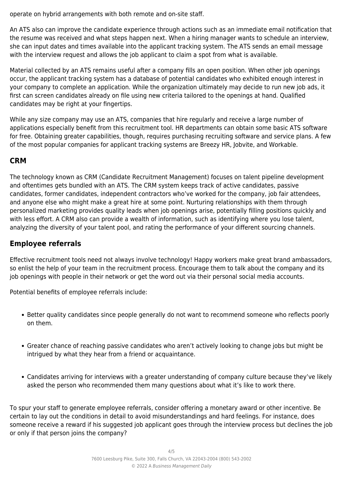operate on hybrid arrangements with both remote and on-site staff.

An ATS also can improve the candidate experience through actions such as an immediate email notification that the resume was received and what steps happen next. When a hiring manager wants to schedule an interview, she can input dates and times available into the applicant tracking system. The ATS sends an email message with the interview request and allows the job applicant to claim a spot from what is available.

Material collected by an ATS remains useful after a company fills an open position. When other job openings occur, the applicant tracking system has a database of potential candidates who exhibited enough interest in your company to complete an application. While the organization ultimately may decide to run new job ads, it first can screen candidates already on file using new criteria tailored to the openings at hand. Qualified candidates may be right at your fingertips.

While any size company may use an ATS, companies that hire regularly and receive a large number of applications especially benefit from this recruitment tool. HR departments can obtain some basic ATS software for free. Obtaining greater capabilities, though, requires purchasing recruiting software and service plans. A few of the most popular companies for applicant tracking systems are Breezy HR, Jobvite, and Workable.

## **CRM**

The technology known as CRM (Candidate Recruitment Management) focuses on talent pipeline development and oftentimes gets bundled with an ATS. The CRM system keeps track of active candidates, passive candidates, former candidates, independent contractors who've worked for the company, job fair attendees, and anyone else who might make a great hire at some point. Nurturing relationships with them through personalized marketing provides quality leads when job openings arise, potentially filling positions quickly and with less effort. A CRM also can provide a wealth of information, such as identifying where you lose talent, analyzing the diversity of your talent pool, and rating the performance of your different sourcing channels.

## **Employee referrals**

Effective recruitment tools need not always involve technology! Happy workers make great brand ambassadors, so enlist the help of your team in the recruitment process. Encourage them to talk about the company and its job openings with people in their network or get the word out via their personal social media accounts.

Potential benefits of employee referrals include:

- Better quality candidates since people generally do not want to recommend someone who reflects poorly on them.
- Greater chance of reaching passive candidates who aren't actively looking to change jobs but might be intrigued by what they hear from a friend or acquaintance.
- Candidates arriving for interviews with a greater understanding of company culture because they've likely asked the person who recommended them many questions about what it's like to work there.

To spur your staff to generate employee referrals, consider offering a monetary award or other incentive. Be certain to lay out the conditions in detail to avoid misunderstandings and hard feelings. For instance, does someone receive a reward if his suggested job applicant goes through the interview process but declines the job or only if that person joins the company?